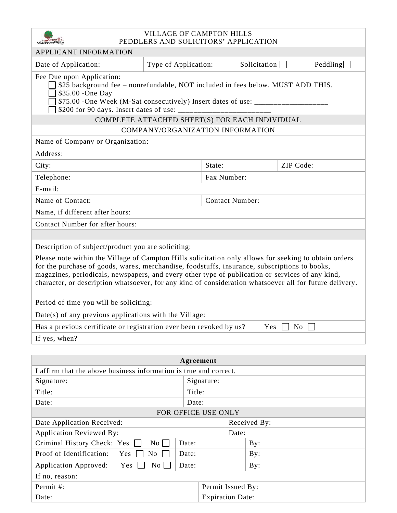| <b>VILLAGE OF CAMPTON HILLS</b>                                                                                                                                                                                                                                                                                                                                                                                       |                      |            |                     |                        |         |  |  |  |
|-----------------------------------------------------------------------------------------------------------------------------------------------------------------------------------------------------------------------------------------------------------------------------------------------------------------------------------------------------------------------------------------------------------------------|----------------------|------------|---------------------|------------------------|---------|--|--|--|
| PEDDLERS AND SOLICITORS' APPLICATION<br>APPLICANT INFORMATION                                                                                                                                                                                                                                                                                                                                                         |                      |            |                     |                        |         |  |  |  |
| Date of Application:                                                                                                                                                                                                                                                                                                                                                                                                  | Type of Application: |            | Solicitation $\Box$ |                        | Pedling |  |  |  |
| Fee Due upon Application:<br>\$25 background fee - nonrefundable, NOT included in fees below. MUST ADD THIS.<br>\$35.00 -One Day<br>\$75.00 -One Week (M-Sat consecutively) Insert dates of use: ____________________                                                                                                                                                                                                 |                      |            |                     |                        |         |  |  |  |
| COMPLETE ATTACHED SHEET(S) FOR EACH INDIVIDUAL                                                                                                                                                                                                                                                                                                                                                                        |                      |            |                     |                        |         |  |  |  |
| COMPANY/ORGANIZATION INFORMATION                                                                                                                                                                                                                                                                                                                                                                                      |                      |            |                     |                        |         |  |  |  |
| Name of Company or Organization:                                                                                                                                                                                                                                                                                                                                                                                      |                      |            |                     |                        |         |  |  |  |
| Address:                                                                                                                                                                                                                                                                                                                                                                                                              |                      |            |                     |                        |         |  |  |  |
| City:                                                                                                                                                                                                                                                                                                                                                                                                                 |                      | State:     |                     | ZIP Code:              |         |  |  |  |
| Telephone:                                                                                                                                                                                                                                                                                                                                                                                                            | Fax Number:          |            |                     |                        |         |  |  |  |
| E-mail:                                                                                                                                                                                                                                                                                                                                                                                                               |                      |            |                     |                        |         |  |  |  |
| Name of Contact:                                                                                                                                                                                                                                                                                                                                                                                                      |                      |            |                     | <b>Contact Number:</b> |         |  |  |  |
| Name, if different after hours:                                                                                                                                                                                                                                                                                                                                                                                       |                      |            |                     |                        |         |  |  |  |
| Contact Number for after hours:                                                                                                                                                                                                                                                                                                                                                                                       |                      |            |                     |                        |         |  |  |  |
|                                                                                                                                                                                                                                                                                                                                                                                                                       |                      |            |                     |                        |         |  |  |  |
| Description of subject/product you are soliciting:                                                                                                                                                                                                                                                                                                                                                                    |                      |            |                     |                        |         |  |  |  |
| Please note within the Village of Campton Hills solicitation only allows for seeking to obtain orders<br>for the purchase of goods, wares, merchandise, foodstuffs, insurance, subscriptions to books,<br>magazines, periodicals, newspapers, and every other type of publication or services of any kind,<br>character, or description whatsoever, for any kind of consideration whatsoever all for future delivery. |                      |            |                     |                        |         |  |  |  |
| Period of time you will be soliciting:                                                                                                                                                                                                                                                                                                                                                                                |                      |            |                     |                        |         |  |  |  |
| Date(s) of any previous applications with the Village:                                                                                                                                                                                                                                                                                                                                                                |                      |            |                     |                        |         |  |  |  |
| Has a previous certificate or registration ever been revoked by us?<br>Yes<br>$\overline{N_{0}}$                                                                                                                                                                                                                                                                                                                      |                      |            |                     |                        |         |  |  |  |
| If yes, when?                                                                                                                                                                                                                                                                                                                                                                                                         |                      |            |                     |                        |         |  |  |  |
|                                                                                                                                                                                                                                                                                                                                                                                                                       |                      |            |                     |                        |         |  |  |  |
| Agreement                                                                                                                                                                                                                                                                                                                                                                                                             |                      |            |                     |                        |         |  |  |  |
| I affirm that the above business information is true and correct.                                                                                                                                                                                                                                                                                                                                                     |                      |            |                     |                        |         |  |  |  |
| Signature:                                                                                                                                                                                                                                                                                                                                                                                                            |                      | Signature: |                     |                        |         |  |  |  |
| Title:                                                                                                                                                                                                                                                                                                                                                                                                                |                      | Title:     |                     |                        |         |  |  |  |
| Date:<br>Date:<br>FOR OFFICE USE ONLY                                                                                                                                                                                                                                                                                                                                                                                 |                      |            |                     |                        |         |  |  |  |

| Date:                                                              | Date: |                         |              |  |  |  |  |
|--------------------------------------------------------------------|-------|-------------------------|--------------|--|--|--|--|
| FOR OFFICE USE ONLY                                                |       |                         |              |  |  |  |  |
| Date Application Received:                                         |       |                         | Received By: |  |  |  |  |
| <b>Application Reviewed By:</b>                                    |       | Date:                   |              |  |  |  |  |
| Criminal History Check: Yes<br>$\mathrm{No}$                       | Date: |                         | By:          |  |  |  |  |
| Yes<br>No<br>Proof of Identification:<br>Date:                     |       |                         | By:          |  |  |  |  |
| Yes<br>$\overline{N_{0}}$<br><b>Application Approved:</b><br>Date: |       |                         | By:          |  |  |  |  |
| If no, reason:                                                     |       |                         |              |  |  |  |  |
| Permit #:                                                          |       | Permit Issued By:       |              |  |  |  |  |
| Date:                                                              |       | <b>Expiration Date:</b> |              |  |  |  |  |